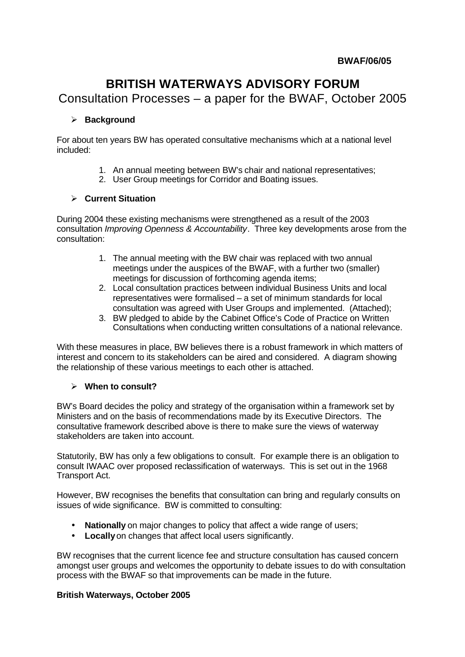# **BRITISH WATERWAYS ADVISORY FORUM**

Consultation Processes – a paper for the BWAF, October 2005

### ÿ **Background**

For about ten years BW has operated consultative mechanisms which at a national level included:

- 1. An annual meeting between BW's chair and national representatives;
- 2. User Group meetings for Corridor and Boating issues.

#### ÿ **Current Situation**

During 2004 these existing mechanisms were strengthened as a result of the 2003 consultation *Improving Openness & Accountability*. Three key developments arose from the consultation:

- 1. The annual meeting with the BW chair was replaced with two annual meetings under the auspices of the BWAF, with a further two (smaller) meetings for discussion of forthcoming agenda items;
- 2. Local consultation practices between individual Business Units and local representatives were formalised – a set of minimum standards for local consultation was agreed with User Groups and implemented. (Attached);
- 3. BW pledged to abide by the Cabinet Office's Code of Practice on Written Consultations when conducting written consultations of a national relevance.

With these measures in place, BW believes there is a robust framework in which matters of interest and concern to its stakeholders can be aired and considered. A diagram showing the relationship of these various meetings to each other is attached.

#### ÿ **When to consult?**

BW's Board decides the policy and strategy of the organisation within a framework set by Ministers and on the basis of recommendations made by its Executive Directors. The consultative framework described above is there to make sure the views of waterway stakeholders are taken into account.

Statutorily, BW has only a few obligations to consult. For example there is an obligation to consult IWAAC over proposed reclassification of waterways. This is set out in the 1968 Transport Act.

However, BW recognises the benefits that consultation can bring and regularly consults on issues of wide significance. BW is committed to consulting:

- **Nationally** on major changes to policy that affect a wide range of users;
- **Locally** on changes that affect local users significantly.

BW recognises that the current licence fee and structure consultation has caused concern amongst user groups and welcomes the opportunity to debate issues to do with consultation process with the BWAF so that improvements can be made in the future.

#### **British Waterways, October 2005**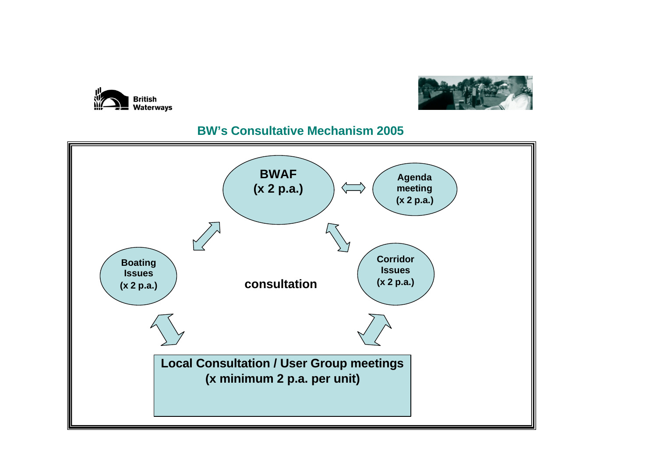



## **BW's Consultative Mechanism 2005**